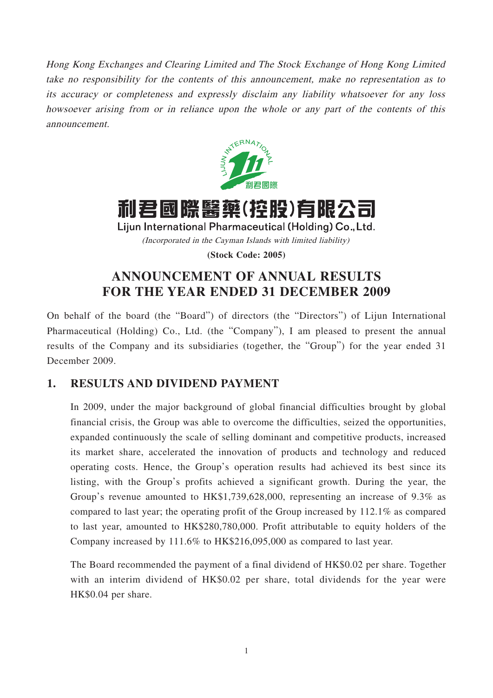Hong Kong Exchanges and Clearing Limited and The Stock Exchange of Hong Kong Limited take no responsibility for the contents of this announcement, make no representation as to its accuracy or completeness and expressly disclaim any liability whatsoever for any loss howsoever arising from or in reliance upon the whole or any part of the contents of this announcement.



# 利君國際醫藥(控股)有限公司

Lijun International Pharmaceutical (Holding) Co., Ltd. (Incorporated in the Cayman Islands with limited liability)

**(Stock Code: 2005)**

# **ANNOUNCEMENT OF ANNUAL RESULTS FOR THE YEAR ENDED 31 DECEMBER 2009**

On behalf of the board (the "Board") of directors (the "Directors") of Lijun International Pharmaceutical (Holding) Co., Ltd. (the "Company"), I am pleased to present the annual results of the Company and its subsidiaries (together, the "Group") for the year ended 31 December 2009.

### **1. RESULTS AND DIVIDEND PAYMENT**

In 2009, under the major background of global financial difficulties brought by global financial crisis, the Group was able to overcome the difficulties, seized the opportunities, expanded continuously the scale of selling dominant and competitive products, increased its market share, accelerated the innovation of products and technology and reduced operating costs. Hence, the Group's operation results had achieved its best since its listing, with the Group's profits achieved a significant growth. During the year, the Group's revenue amounted to HK\$1,739,628,000, representing an increase of 9.3% as compared to last year; the operating profit of the Group increased by 112.1% as compared to last year, amounted to HK\$280,780,000. Profit attributable to equity holders of the Company increased by 111.6% to HK\$216,095,000 as compared to last year.

The Board recommended the payment of a final dividend of HK\$0.02 per share. Together with an interim dividend of HK\$0.02 per share, total dividends for the year were HK\$0.04 per share.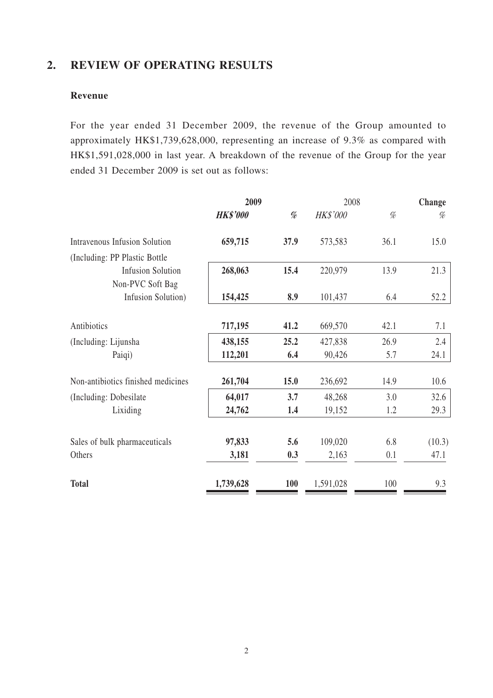# **2. REVIEW OF OPERATING RESULTS**

### **Revenue**

For the year ended 31 December 2009, the revenue of the Group amounted to approximately HK\$1,739,628,000, representing an increase of 9.3% as compared with HK\$1,591,028,000 in last year. A breakdown of the revenue of the Group for the year ended 31 December 2009 is set out as follows:

|                                                                        | 2009            |                                                                                                                                                                                                                                                                                                                                                                                                                                                                                                                                                                                                                                                                                      |                 | 2008 | Change |
|------------------------------------------------------------------------|-----------------|--------------------------------------------------------------------------------------------------------------------------------------------------------------------------------------------------------------------------------------------------------------------------------------------------------------------------------------------------------------------------------------------------------------------------------------------------------------------------------------------------------------------------------------------------------------------------------------------------------------------------------------------------------------------------------------|-----------------|------|--------|
|                                                                        | <b>HK\$'000</b> | $% \mathcal{D} \rightarrow \mathcal{D} \rightarrow \mathcal{D} \rightarrow \mathcal{D} \rightarrow \mathcal{D} \rightarrow \mathcal{D} \rightarrow \mathcal{D} \rightarrow \mathcal{D} \rightarrow \mathcal{D} \rightarrow \mathcal{D} \rightarrow \mathcal{D} \rightarrow \mathcal{D} \rightarrow \mathcal{D} \rightarrow \mathcal{D} \rightarrow \mathcal{D} \rightarrow \mathcal{D} \rightarrow \mathcal{D} \rightarrow \mathcal{D} \rightarrow \mathcal{D} \rightarrow \mathcal{D} \rightarrow \mathcal{D} \rightarrow \mathcal{D} \rightarrow \mathcal{D} \rightarrow \mathcal{D} \rightarrow \mathcal{D} \rightarrow \mathcal{D} \rightarrow \mathcal{D} \rightarrow \mathcal$ | <b>HK\$'000</b> | %    | %      |
| <b>Intravenous Infusion Solution</b><br>(Including: PP Plastic Bottle) | 659,715         | 37.9                                                                                                                                                                                                                                                                                                                                                                                                                                                                                                                                                                                                                                                                                 | 573,583         | 36.1 | 15.0   |
| <b>Infusion Solution</b><br>Non-PVC Soft Bag                           | 268,063         | 15.4                                                                                                                                                                                                                                                                                                                                                                                                                                                                                                                                                                                                                                                                                 | 220,979         | 13.9 | 21.3   |
| Infusion Solution)                                                     | 154,425         | 8.9                                                                                                                                                                                                                                                                                                                                                                                                                                                                                                                                                                                                                                                                                  | 101,437         | 6.4  | 52.2   |
| Antibiotics                                                            | 717,195         | 41.2                                                                                                                                                                                                                                                                                                                                                                                                                                                                                                                                                                                                                                                                                 | 669,570         | 42.1 | 7.1    |
| (Including: Lijunsha                                                   | 438,155         | 25.2                                                                                                                                                                                                                                                                                                                                                                                                                                                                                                                                                                                                                                                                                 | 427,838         | 26.9 | 2.4    |
| Paiqi)                                                                 | 112,201         | 6.4                                                                                                                                                                                                                                                                                                                                                                                                                                                                                                                                                                                                                                                                                  | 90,426          | 5.7  | 24.1   |
| Non-antibiotics finished medicines                                     | 261,704         | 15.0                                                                                                                                                                                                                                                                                                                                                                                                                                                                                                                                                                                                                                                                                 | 236,692         | 14.9 | 10.6   |
| (Including: Dobesilate)                                                | 64,017          | 3.7                                                                                                                                                                                                                                                                                                                                                                                                                                                                                                                                                                                                                                                                                  | 48,268          | 3.0  | 32.6   |
| Lixiding                                                               | 24,762          | 1.4                                                                                                                                                                                                                                                                                                                                                                                                                                                                                                                                                                                                                                                                                  | 19,152          | 1.2  | 29.3   |
| Sales of bulk pharmaceuticals                                          | 97,833          | 5.6                                                                                                                                                                                                                                                                                                                                                                                                                                                                                                                                                                                                                                                                                  | 109,020         | 6.8  | (10.3) |
| Others                                                                 | 3,181           | 0.3                                                                                                                                                                                                                                                                                                                                                                                                                                                                                                                                                                                                                                                                                  | 2,163           | 0.1  | 47.1   |
| <b>Total</b>                                                           | 1,739,628       | <b>100</b>                                                                                                                                                                                                                                                                                                                                                                                                                                                                                                                                                                                                                                                                           | 1,591,028       | 100  | 9.3    |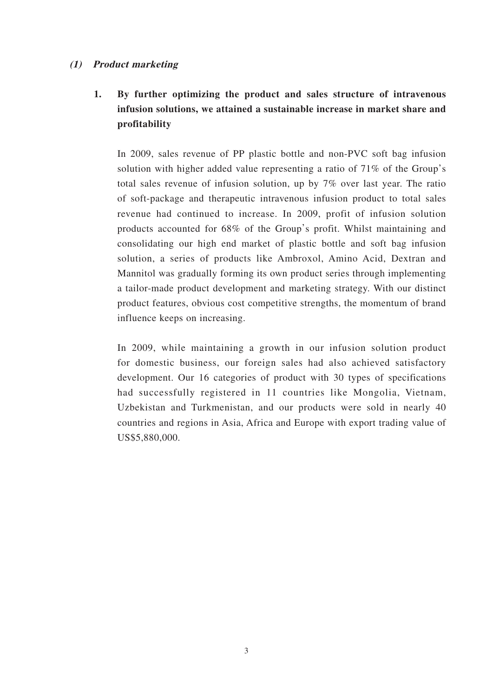### **(1) Product marketing**

# **1. By further optimizing the product and sales structure of intravenous infusion solutions, we attained a sustainable increase in market share and profitability**

In 2009, sales revenue of PP plastic bottle and non-PVC soft bag infusion solution with higher added value representing a ratio of 71% of the Group's total sales revenue of infusion solution, up by 7% over last year. The ratio of soft-package and therapeutic intravenous infusion product to total sales revenue had continued to increase. In 2009, profit of infusion solution products accounted for 68% of the Group's profit. Whilst maintaining and consolidating our high end market of plastic bottle and soft bag infusion solution, a series of products like Ambroxol, Amino Acid, Dextran and Mannitol was gradually forming its own product series through implementing a tailor-made product development and marketing strategy. With our distinct product features, obvious cost competitive strengths, the momentum of brand influence keeps on increasing.

In 2009, while maintaining a growth in our infusion solution product for domestic business, our foreign sales had also achieved satisfactory development. Our 16 categories of product with 30 types of specifications had successfully registered in 11 countries like Mongolia, Vietnam, Uzbekistan and Turkmenistan, and our products were sold in nearly 40 countries and regions in Asia, Africa and Europe with export trading value of US\$5,880,000.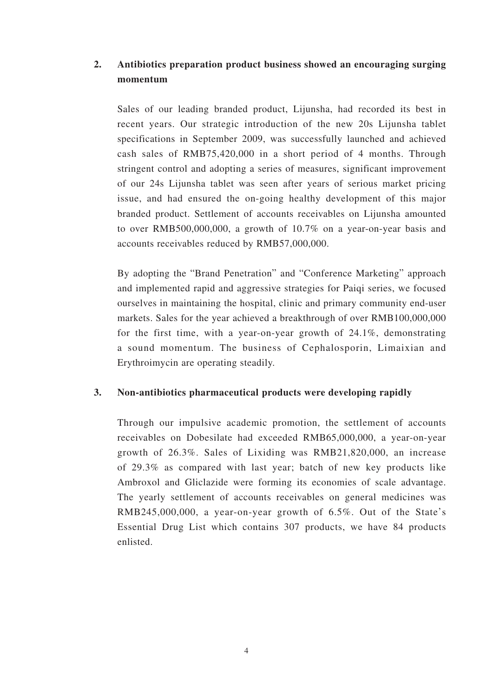### **2. Antibiotics preparation product business showed an encouraging surging momentum**

Sales of our leading branded product, Lijunsha, had recorded its best in recent years. Our strategic introduction of the new 20s Lijunsha tablet specifications in September 2009, was successfully launched and achieved cash sales of RMB75,420,000 in a short period of 4 months. Through stringent control and adopting a series of measures, significant improvement of our 24s Lijunsha tablet was seen after years of serious market pricing issue, and had ensured the on-going healthy development of this major branded product. Settlement of accounts receivables on Lijunsha amounted to over RMB500,000,000, a growth of 10.7% on a year-on-year basis and accounts receivables reduced by RMB57,000,000.

By adopting the "Brand Penetration" and "Conference Marketing" approach and implemented rapid and aggressive strategies for Paiqi series, we focused ourselves in maintaining the hospital, clinic and primary community end-user markets. Sales for the year achieved a breakthrough of over RMB100,000,000 for the first time, with a year-on-year growth of 24.1%, demonstrating a sound momentum. The business of Cephalosporin, Limaixian and Erythroimycin are operating steadily.

### **3. Non-antibiotics pharmaceutical products were developing rapidly**

Through our impulsive academic promotion, the settlement of accounts receivables on Dobesilate had exceeded RMB65,000,000, a year-on-year growth of 26.3%. Sales of Lixiding was RMB21,820,000, an increase of 29.3% as compared with last year; batch of new key products like Ambroxol and Gliclazide were forming its economies of scale advantage. The yearly settlement of accounts receivables on general medicines was RMB245,000,000, a year-on-year growth of 6.5%. Out of the State's Essential Drug List which contains 307 products, we have 84 products enlisted.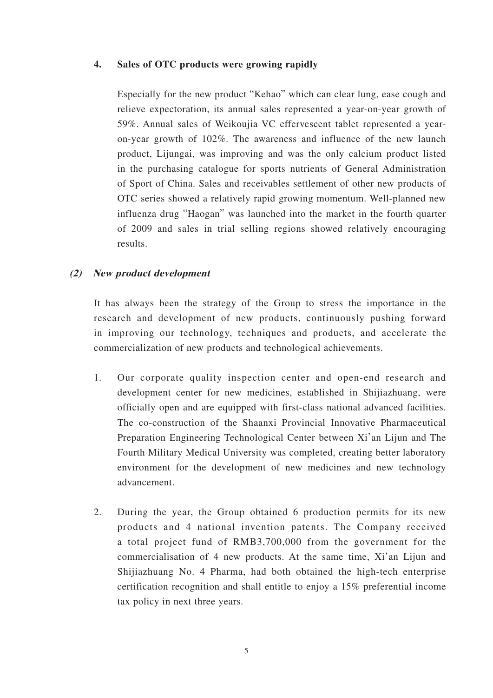### **4. Sales of OTC products were growing rapidly**

Especially for the new product "Kehao" which can clear lung, ease cough and relieve expectoration, its annual sales represented a year-on-year growth of 59%. Annual sales of Weikoujia VC effervescent tablet represented a yearon-year growth of 102%. The awareness and influence of the new launch product, Lijungai, was improving and was the only calcium product listed in the purchasing catalogue for sports nutrients of General Administration of Sport of China. Sales and receivables settlement of other new products of OTC series showed a relatively rapid growing momentum. Well-planned new influenza drug "Haogan" was launched into the market in the fourth quarter of 2009 and sales in trial selling regions showed relatively encouraging results.

### **(2) New product development**

It has always been the strategy of the Group to stress the importance in the research and development of new products, continuously pushing forward in improving our technology, techniques and products, and accelerate the commercialization of new products and technological achievements.

- 1. Our corporate quality inspection center and open-end research and development center for new medicines, established in Shijiazhuang, were officially open and are equipped with first-class national advanced facilities. The co-construction of the Shaanxi Provincial Innovative Pharmaceutical Preparation Engineering Technological Center between Xi'an Lijun and The Fourth Military Medical University was completed, creating better laboratory environment for the development of new medicines and new technology advancement.
- 2. During the year, the Group obtained 6 production permits for its new products and 4 national invention patents. The Company received a total project fund of RMB3,700,000 from the government for the commercialisation of 4 new products. At the same time, Xi'an Lijun and Shijiazhuang No. 4 Pharma, had both obtained the high-tech enterprise certification recognition and shall entitle to enjoy a 15% preferential income tax policy in next three years.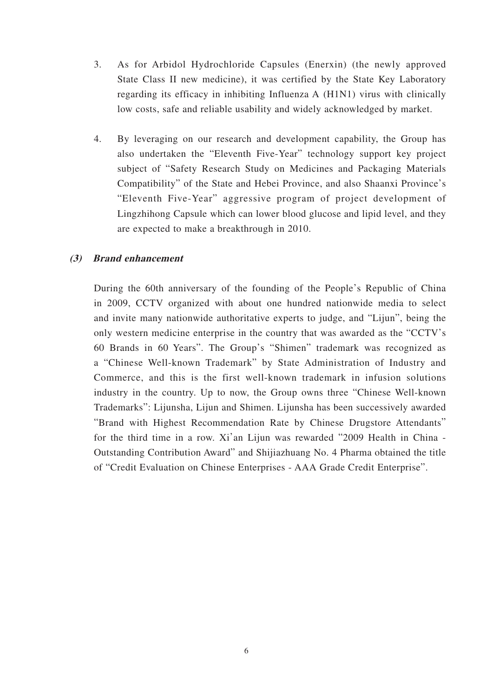- 3. As for Arbidol Hydrochloride Capsules (Enerxin) (the newly approved State Class II new medicine), it was certified by the State Key Laboratory regarding its efficacy in inhibiting Influenza A (H1N1) virus with clinically low costs, safe and reliable usability and widely acknowledged by market.
- 4. By leveraging on our research and development capability, the Group has also undertaken the "Eleventh Five-Year" technology support key project subject of "Safety Research Study on Medicines and Packaging Materials Compatibility" of the State and Hebei Province, and also Shaanxi Province's "Eleventh Five-Year" aggressive program of project development of Lingzhihong Capsule which can lower blood glucose and lipid level, and they are expected to make a breakthrough in 2010.

### **(3) Brand enhancement**

During the 60th anniversary of the founding of the People's Republic of China in 2009, CCTV organized with about one hundred nationwide media to select and invite many nationwide authoritative experts to judge, and "Lijun", being the only western medicine enterprise in the country that was awarded as the "CCTV's 60 Brands in 60 Years". The Group's "Shimen" trademark was recognized as a "Chinese Well-known Trademark" by State Administration of Industry and Commerce, and this is the first well-known trademark in infusion solutions industry in the country. Up to now, the Group owns three "Chinese Well-known Trademarks": Lijunsha, Lijun and Shimen. Lijunsha has been successively awarded "Brand with Highest Recommendation Rate by Chinese Drugstore Attendants" for the third time in a row. Xi'an Lijun was rewarded "2009 Health in China - Outstanding Contribution Award" and Shijiazhuang No. 4 Pharma obtained the title of "Credit Evaluation on Chinese Enterprises - AAA Grade Credit Enterprise".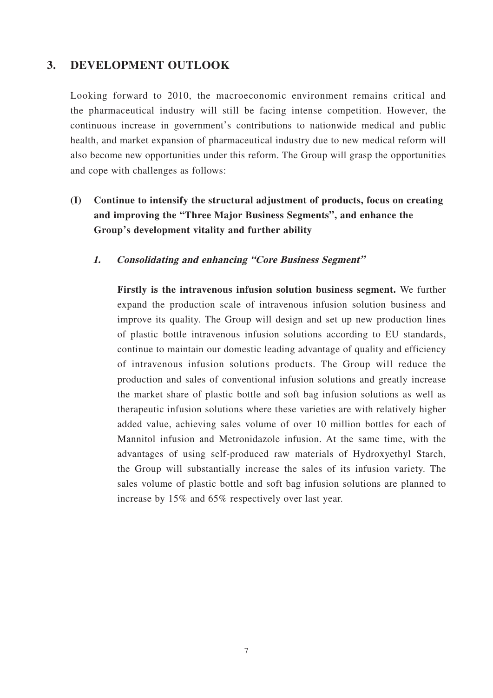### **3. DEVELOPMENT OUTLOOK**

Looking forward to 2010, the macroeconomic environment remains critical and the pharmaceutical industry will still be facing intense competition. However, the continuous increase in government's contributions to nationwide medical and public health, and market expansion of pharmaceutical industry due to new medical reform will also become new opportunities under this reform. The Group will grasp the opportunities and cope with challenges as follows:

- **(I) Continue to intensify the structural adjustment of products, focus on creating and improving the "Three Major Business Segments", and enhance the Group's development vitality and further ability**
	- **1. Consolidating and enhancing "Core Business Segment"**

**Firstly is the intravenous infusion solution business segment.** We further expand the production scale of intravenous infusion solution business and improve its quality. The Group will design and set up new production lines of plastic bottle intravenous infusion solutions according to EU standards, continue to maintain our domestic leading advantage of quality and efficiency of intravenous infusion solutions products. The Group will reduce the production and sales of conventional infusion solutions and greatly increase the market share of plastic bottle and soft bag infusion solutions as well as therapeutic infusion solutions where these varieties are with relatively higher added value, achieving sales volume of over 10 million bottles for each of Mannitol infusion and Metronidazole infusion. At the same time, with the advantages of using self-produced raw materials of Hydroxyethyl Starch, the Group will substantially increase the sales of its infusion variety. The sales volume of plastic bottle and soft bag infusion solutions are planned to increase by 15% and 65% respectively over last year.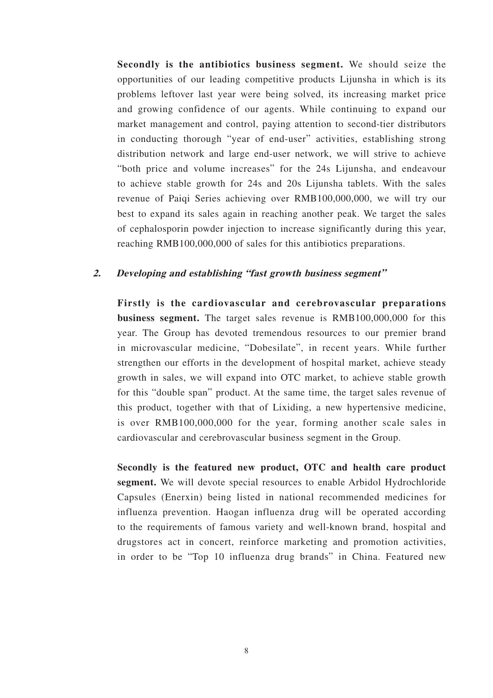**Secondly is the antibiotics business segment.** We should seize the opportunities of our leading competitive products Lijunsha in which is its problems leftover last year were being solved, its increasing market price and growing confidence of our agents. While continuing to expand our market management and control, paying attention to second-tier distributors in conducting thorough "year of end-user" activities, establishing strong distribution network and large end-user network, we will strive to achieve "both price and volume increases" for the 24s Lijunsha, and endeavour to achieve stable growth for 24s and 20s Lijunsha tablets. With the sales revenue of Paiqi Series achieving over RMB100,000,000, we will try our best to expand its sales again in reaching another peak. We target the sales of cephalosporin powder injection to increase significantly during this year, reaching RMB100,000,000 of sales for this antibiotics preparations.

### **2. Developing and establishing "fast growth business segment"**

**Firstly is the cardiovascular and cerebrovascular preparations business segment.** The target sales revenue is RMB100,000,000 for this year. The Group has devoted tremendous resources to our premier brand in microvascular medicine, "Dobesilate", in recent years. While further strengthen our efforts in the development of hospital market, achieve steady growth in sales, we will expand into OTC market, to achieve stable growth for this "double span" product. At the same time, the target sales revenue of this product, together with that of Lixiding, a new hypertensive medicine, is over RMB100,000,000 for the year, forming another scale sales in cardiovascular and cerebrovascular business segment in the Group.

**Secondly is the featured new product, OTC and health care product segment.** We will devote special resources to enable Arbidol Hydrochloride Capsules (Enerxin) being listed in national recommended medicines for influenza prevention. Haogan influenza drug will be operated according to the requirements of famous variety and well-known brand, hospital and drugstores act in concert, reinforce marketing and promotion activities, in order to be "Top 10 influenza drug brands" in China. Featured new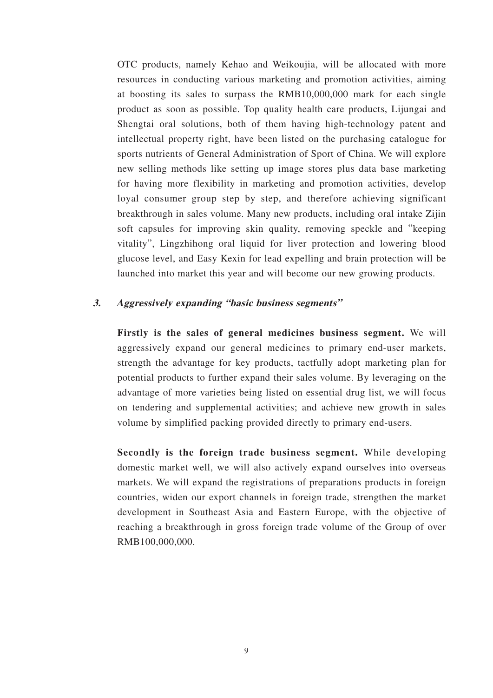OTC products, namely Kehao and Weikoujia, will be allocated with more resources in conducting various marketing and promotion activities, aiming at boosting its sales to surpass the RMB10,000,000 mark for each single product as soon as possible. Top quality health care products, Lijungai and Shengtai oral solutions, both of them having high-technology patent and intellectual property right, have been listed on the purchasing catalogue for sports nutrients of General Administration of Sport of China. We will explore new selling methods like setting up image stores plus data base marketing for having more flexibility in marketing and promotion activities, develop loyal consumer group step by step, and therefore achieving significant breakthrough in sales volume. Many new products, including oral intake Zijin soft capsules for improving skin quality, removing speckle and "keeping vitality", Lingzhihong oral liquid for liver protection and lowering blood glucose level, and Easy Kexin for lead expelling and brain protection will be launched into market this year and will become our new growing products.

### **3. Aggressively expanding "basic business segments"**

**Firstly is the sales of general medicines business segment.** We will aggressively expand our general medicines to primary end-user markets, strength the advantage for key products, tactfully adopt marketing plan for potential products to further expand their sales volume. By leveraging on the advantage of more varieties being listed on essential drug list, we will focus on tendering and supplemental activities; and achieve new growth in sales volume by simplified packing provided directly to primary end-users.

**Secondly is the foreign trade business segment.** While developing domestic market well, we will also actively expand ourselves into overseas markets. We will expand the registrations of preparations products in foreign countries, widen our export channels in foreign trade, strengthen the market development in Southeast Asia and Eastern Europe, with the objective of reaching a breakthrough in gross foreign trade volume of the Group of over RMB100,000,000.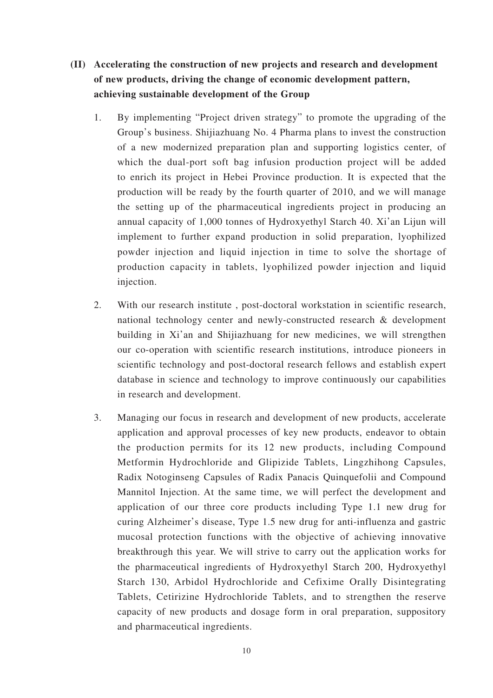- **(II) Accelerating the construction of new projects and research and development of new products, driving the change of economic development pattern, achieving sustainable development of the Group**
	- 1. By implementing "Project driven strategy" to promote the upgrading of the Group's business. Shijiazhuang No. 4 Pharma plans to invest the construction of a new modernized preparation plan and supporting logistics center, of which the dual-port soft bag infusion production project will be added to enrich its project in Hebei Province production. It is expected that the production will be ready by the fourth quarter of 2010, and we will manage the setting up of the pharmaceutical ingredients project in producing an annual capacity of 1,000 tonnes of Hydroxyethyl Starch 40. Xi'an Lijun will implement to further expand production in solid preparation, lyophilized powder injection and liquid injection in time to solve the shortage of production capacity in tablets, lyophilized powder injection and liquid injection.
	- 2. With our research institute , post-doctoral workstation in scientific research, national technology center and newly-constructed research & development building in Xi'an and Shijiazhuang for new medicines, we will strengthen our co-operation with scientific research institutions, introduce pioneers in scientific technology and post-doctoral research fellows and establish expert database in science and technology to improve continuously our capabilities in research and development.
	- 3. Managing our focus in research and development of new products, accelerate application and approval processes of key new products, endeavor to obtain the production permits for its 12 new products, including Compound Metformin Hydrochloride and Glipizide Tablets, Lingzhihong Capsules, Radix Notoginseng Capsules of Radix Panacis Quinquefolii and Compound Mannitol Injection. At the same time, we will perfect the development and application of our three core products including Type 1.1 new drug for curing Alzheimer's disease, Type 1.5 new drug for anti-influenza and gastric mucosal protection functions with the objective of achieving innovative breakthrough this year. We will strive to carry out the application works for the pharmaceutical ingredients of Hydroxyethyl Starch 200, Hydroxyethyl Starch 130, Arbidol Hydrochloride and Cefixime Orally Disintegrating Tablets, Cetirizine Hydrochloride Tablets, and to strengthen the reserve capacity of new products and dosage form in oral preparation, suppository and pharmaceutical ingredients.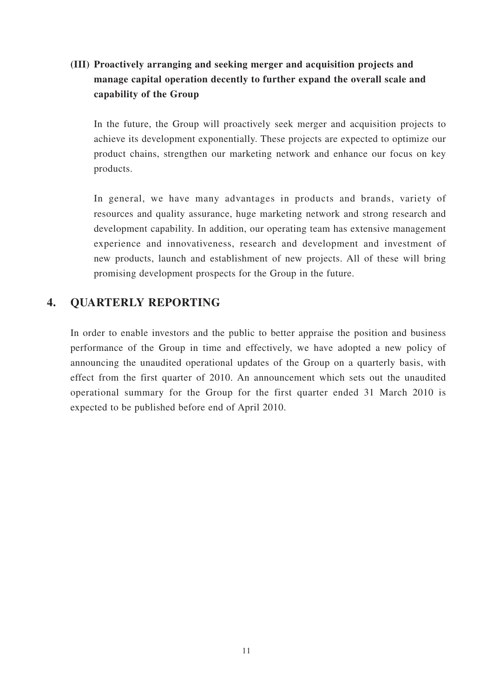# **(III) Proactively arranging and seeking merger and acquisition projects and manage capital operation decently to further expand the overall scale and capability of the Group**

In the future, the Group will proactively seek merger and acquisition projects to achieve its development exponentially. These projects are expected to optimize our product chains, strengthen our marketing network and enhance our focus on key products.

In general, we have many advantages in products and brands, variety of resources and quality assurance, huge marketing network and strong research and development capability. In addition, our operating team has extensive management experience and innovativeness, research and development and investment of new products, launch and establishment of new projects. All of these will bring promising development prospects for the Group in the future.

### **4. QUARTERLY REPORTING**

In order to enable investors and the public to better appraise the position and business performance of the Group in time and effectively, we have adopted a new policy of announcing the unaudited operational updates of the Group on a quarterly basis, with effect from the first quarter of 2010. An announcement which sets out the unaudited operational summary for the Group for the first quarter ended 31 March 2010 is expected to be published before end of April 2010.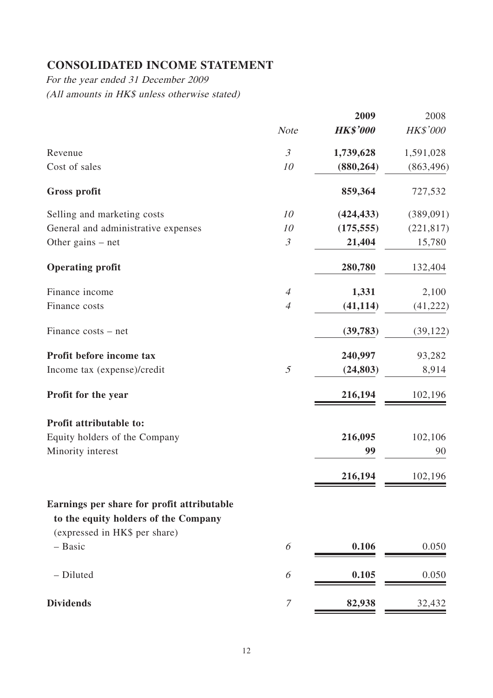# **CONSOLIDATED INCOME STATEMENT**

For the year ended 31 December 2009 (All amounts in HK\$ unless otherwise stated)

|                                                                                    |                | 2009            | 2008       |
|------------------------------------------------------------------------------------|----------------|-----------------|------------|
|                                                                                    | <b>Note</b>    | <b>HK\$'000</b> | HK\$'000   |
| Revenue                                                                            | $\mathfrak{Z}$ | 1,739,628       | 1,591,028  |
| Cost of sales                                                                      | 10             | (880, 264)      | (863, 496) |
| <b>Gross profit</b>                                                                |                | 859,364         | 727,532    |
| Selling and marketing costs                                                        | 10             | (424, 433)      | (389,091)  |
| General and administrative expenses                                                | 10             | (175, 555)      | (221, 817) |
| Other gains $-$ net                                                                | $\mathfrak{Z}$ | 21,404          | 15,780     |
| <b>Operating profit</b>                                                            |                | 280,780         | 132,404    |
| Finance income                                                                     | $\overline{4}$ | 1,331           | 2,100      |
| Finance costs                                                                      | $\overline{4}$ | (41, 114)       | (41, 222)  |
| Finance costs – net                                                                |                | (39, 783)       | (39, 122)  |
| Profit before income tax                                                           |                | 240,997         | 93,282     |
| Income tax (expense)/credit                                                        | $\mathfrak{I}$ | (24, 803)       | 8,914      |
| Profit for the year                                                                |                | 216,194         | 102,196    |
| Profit attributable to:                                                            |                |                 |            |
| Equity holders of the Company                                                      |                | 216,095         | 102,106    |
| Minority interest                                                                  |                | 99              | 90         |
|                                                                                    |                | 216,194         | 102,196    |
| Earnings per share for profit attributable<br>to the equity holders of the Company |                |                 |            |
| (expressed in HK\$ per share)                                                      |                |                 |            |
| - Basic                                                                            | 6              | 0.106           | 0.050      |
| - Diluted                                                                          | 6              | 0.105           | 0.050      |
| <b>Dividends</b>                                                                   | $\mathcal T$   | 82,938          | 32,432     |
|                                                                                    |                |                 |            |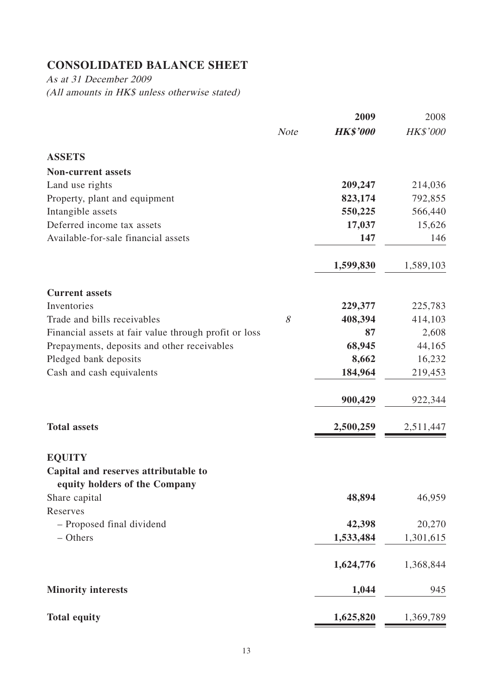# **CONSOLIDATED BALANCE SHEET**

As at 31 December 2009 (All amounts in HK\$ unless otherwise stated)

|                                                                       |             | 2009            | 2008      |
|-----------------------------------------------------------------------|-------------|-----------------|-----------|
|                                                                       | <b>Note</b> | <b>HK\$'000</b> | HK\$'000  |
| <b>ASSETS</b>                                                         |             |                 |           |
| <b>Non-current assets</b>                                             |             |                 |           |
| Land use rights                                                       |             | 209,247         | 214,036   |
| Property, plant and equipment                                         |             | 823,174         | 792,855   |
| Intangible assets                                                     |             | 550,225         | 566,440   |
| Deferred income tax assets                                            |             | 17,037          | 15,626    |
| Available-for-sale financial assets                                   |             | 147             | 146       |
|                                                                       |             | 1,599,830       | 1,589,103 |
| <b>Current assets</b>                                                 |             |                 |           |
| Inventories                                                           |             | 229,377         | 225,783   |
| Trade and bills receivables                                           | 8           | 408,394         | 414,103   |
| Financial assets at fair value through profit or loss                 |             | 87              | 2,608     |
| Prepayments, deposits and other receivables                           |             | 68,945          | 44,165    |
| Pledged bank deposits                                                 |             | 8,662           | 16,232    |
| Cash and cash equivalents                                             |             | 184,964         | 219,453   |
|                                                                       |             | 900,429         | 922,344   |
| <b>Total assets</b>                                                   |             | 2,500,259       | 2,511,447 |
| <b>EQUITY</b>                                                         |             |                 |           |
| Capital and reserves attributable to<br>equity holders of the Company |             |                 |           |
| Share capital                                                         |             | 48,894          | 46,959    |
| Reserves                                                              |             |                 |           |
| - Proposed final dividend                                             |             | 42,398          | 20,270    |
| - Others                                                              |             | 1,533,484       | 1,301,615 |
|                                                                       |             | 1,624,776       | 1,368,844 |
| <b>Minority interests</b>                                             |             | 1,044           | 945       |
| <b>Total equity</b>                                                   |             | 1,625,820       | 1,369,789 |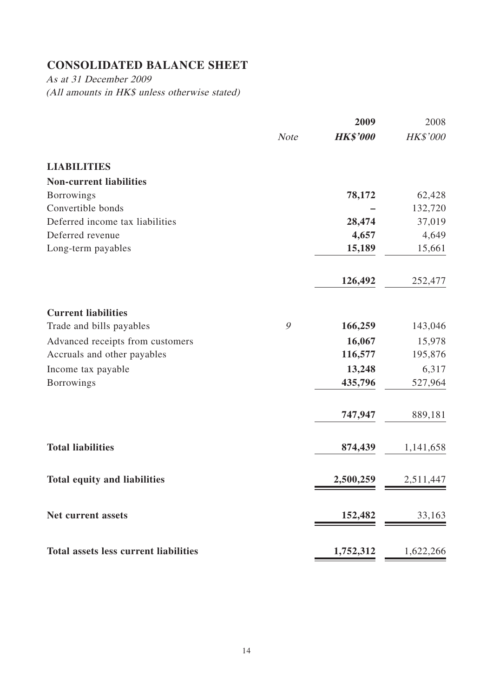# **CONSOLIDATED BALANCE SHEET**

As at 31 December 2009 (All amounts in HK\$ unless otherwise stated)

|                                              |             | 2009            | 2008      |
|----------------------------------------------|-------------|-----------------|-----------|
|                                              | <b>Note</b> | <b>HK\$'000</b> | HK\$'000  |
| <b>LIABILITIES</b>                           |             |                 |           |
| <b>Non-current liabilities</b>               |             |                 |           |
| <b>Borrowings</b>                            |             | 78,172          | 62,428    |
| Convertible bonds                            |             |                 | 132,720   |
| Deferred income tax liabilities              |             | 28,474          | 37,019    |
| Deferred revenue                             |             | 4,657           | 4,649     |
| Long-term payables                           |             | 15,189          | 15,661    |
|                                              |             | 126,492         | 252,477   |
| <b>Current liabilities</b>                   |             |                 |           |
| Trade and bills payables                     | 9           | 166,259         | 143,046   |
| Advanced receipts from customers             |             | 16,067          | 15,978    |
| Accruals and other payables                  |             | 116,577         | 195,876   |
| Income tax payable                           |             | 13,248          | 6,317     |
| <b>Borrowings</b>                            |             | 435,796         | 527,964   |
|                                              |             | 747,947         | 889,181   |
| <b>Total liabilities</b>                     |             | 874,439         | 1,141,658 |
| <b>Total equity and liabilities</b>          |             | 2,500,259       | 2,511,447 |
| <b>Net current assets</b>                    |             | 152,482         | 33,163    |
| <b>Total assets less current liabilities</b> |             | 1,752,312       | 1,622,266 |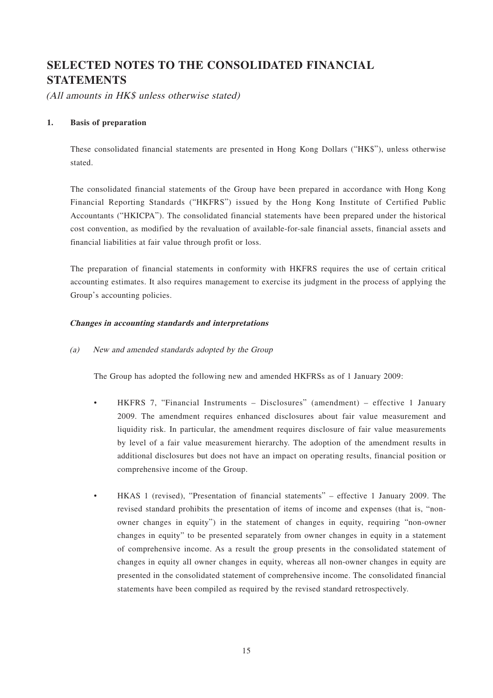# **SELECTED NOTES TO THE CONSOLIDATED FINANCIAL STATEMENTS**

(All amounts in HK\$ unless otherwise stated)

#### **1. Basis of preparation**

These consolidated financial statements are presented in Hong Kong Dollars ("HK\$"), unless otherwise stated.

The consolidated financial statements of the Group have been prepared in accordance with Hong Kong Financial Reporting Standards ("HKFRS") issued by the Hong Kong Institute of Certified Public Accountants ("HKICPA"). The consolidated financial statements have been prepared under the historical cost convention, as modified by the revaluation of available-for-sale financial assets, financial assets and financial liabilities at fair value through profit or loss.

The preparation of financial statements in conformity with HKFRS requires the use of certain critical accounting estimates. It also requires management to exercise its judgment in the process of applying the Group's accounting policies.

#### **Changes in accounting standards and interpretations**

(a) New and amended standards adopted by the Group

The Group has adopted the following new and amended HKFRSs as of 1 January 2009:

- HKFRS 7, "Financial Instruments Disclosures" (amendment) effective 1 January 2009. The amendment requires enhanced disclosures about fair value measurement and liquidity risk. In particular, the amendment requires disclosure of fair value measurements by level of a fair value measurement hierarchy. The adoption of the amendment results in additional disclosures but does not have an impact on operating results, financial position or comprehensive income of the Group.
- HKAS 1 (revised), "Presentation of financial statements" effective 1 January 2009. The revised standard prohibits the presentation of items of income and expenses (that is, "nonowner changes in equity") in the statement of changes in equity, requiring "non-owner changes in equity" to be presented separately from owner changes in equity in a statement of comprehensive income. As a result the group presents in the consolidated statement of changes in equity all owner changes in equity, whereas all non-owner changes in equity are presented in the consolidated statement of comprehensive income. The consolidated financial statements have been compiled as required by the revised standard retrospectively.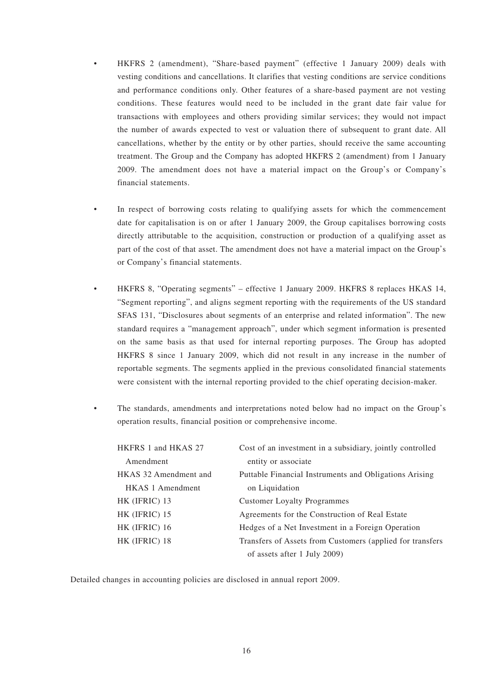- HKFRS 2 (amendment), "Share-based payment" (effective 1 January 2009) deals with vesting conditions and cancellations. It clarifies that vesting conditions are service conditions and performance conditions only. Other features of a share-based payment are not vesting conditions. These features would need to be included in the grant date fair value for transactions with employees and others providing similar services; they would not impact the number of awards expected to vest or valuation there of subsequent to grant date. All cancellations, whether by the entity or by other parties, should receive the same accounting treatment. The Group and the Company has adopted HKFRS 2 (amendment) from 1 January 2009. The amendment does not have a material impact on the Group's or Company's financial statements.
- In respect of borrowing costs relating to qualifying assets for which the commencement date for capitalisation is on or after 1 January 2009, the Group capitalises borrowing costs directly attributable to the acquisition, construction or production of a qualifying asset as part of the cost of that asset. The amendment does not have a material impact on the Group's or Company's financial statements.
- HKFRS 8, "Operating segments" effective 1 January 2009. HKFRS 8 replaces HKAS 14, "Segment reporting", and aligns segment reporting with the requirements of the US standard SFAS 131, "Disclosures about segments of an enterprise and related information". The new standard requires a "management approach", under which segment information is presented on the same basis as that used for internal reporting purposes. The Group has adopted HKFRS 8 since 1 January 2009, which did not result in any increase in the number of reportable segments. The segments applied in the previous consolidated financial statements were consistent with the internal reporting provided to the chief operating decision-maker.

• The standards, amendments and interpretations noted below had no impact on the Group's operation results, financial position or comprehensive income.

| HKFRS 1 and HKAS 27     | Cost of an investment in a subsidiary, jointly controlled  |
|-------------------------|------------------------------------------------------------|
| Amendment               | entity or associate                                        |
| HKAS 32 Amendment and   | Puttable Financial Instruments and Obligations Arising     |
| <b>HKAS</b> 1 Amendment | on Liquidation                                             |
| HK (IFRIC) 13           | <b>Customer Loyalty Programmes</b>                         |
| HK (IFRIC) 15           | Agreements for the Construction of Real Estate             |
| HK (IFRIC) 16           | Hedges of a Net Investment in a Foreign Operation          |
| HK (IFRIC) 18           | Transfers of Assets from Customers (applied for transfers) |
|                         | of assets after 1 July 2009)                               |

Detailed changes in accounting policies are disclosed in annual report 2009.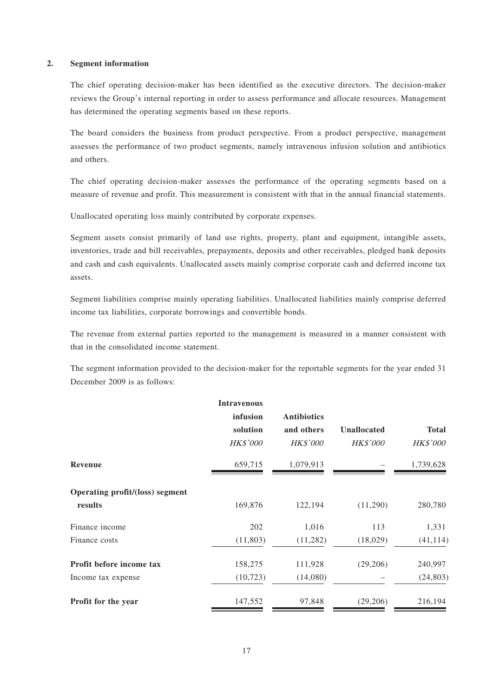#### **2. Segment information**

The chief operating decision-maker has been identified as the executive directors. The decision-maker reviews the Group's internal reporting in order to assess performance and allocate resources. Management has determined the operating segments based on these reports.

The board considers the business from product perspective. From a product perspective, management assesses the performance of two product segments, namely intravenous infusion solution and antibiotics and others.

The chief operating decision-maker assesses the performance of the operating segments based on a measure of revenue and profit. This measurement is consistent with that in the annual financial statements.

Unallocated operating loss mainly contributed by corporate expenses.

Segment assets consist primarily of land use rights, property, plant and equipment, intangible assets, inventories, trade and bill receivables, prepayments, deposits and other receivables, pledged bank deposits and cash and cash equivalents. Unallocated assets mainly comprise corporate cash and deferred income tax assets.

Segment liabilities comprise mainly operating liabilities. Unallocated liabilities mainly comprise deferred income tax liabilities, corporate borrowings and convertible bonds.

The revenue from external parties reported to the management is measured in a manner consistent with that in the consolidated income statement.

The segment information provided to the decision-maker for the reportable segments for the year ended 31 December 2009 is as follows:

|                                 | <b>Intravenous</b> |                    |                    |                 |
|---------------------------------|--------------------|--------------------|--------------------|-----------------|
|                                 | infusion           | <b>Antibiotics</b> |                    |                 |
|                                 | solution           | and others         | <b>Unallocated</b> | <b>Total</b>    |
|                                 | <b>HK\$'000</b>    | <b>HK\$'000</b>    | <b>HK\$'000</b>    | <b>HK\$'000</b> |
| Revenue                         | 659,715            | 1,079,913          |                    | 1,739,628       |
| Operating profit/(loss) segment |                    |                    |                    |                 |
| results                         | 169,876            | 122,194            | (11,290)           | 280,780         |
| Finance income                  | 202                | 1,016              | 113                | 1,331           |
| Finance costs                   | (11,803)           | (11, 282)          | (18,029)           | (41, 114)       |
| Profit before income tax        | 158,275            | 111,928            | (29,206)           | 240,997         |
| Income tax expense              | (10, 723)          | (14,080)           |                    | (24, 803)       |
| Profit for the year             | 147,552            | 97,848             | (29, 206)          | 216,194         |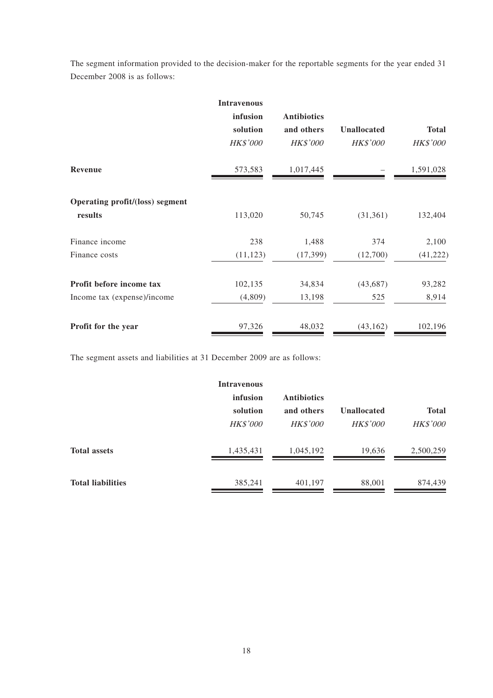The segment information provided to the decision-maker for the reportable segments for the year ended 31 December 2008 is as follows:

|                                            | <b>Intravenous</b><br>infusion<br>solution<br><b>HK\$'000</b> | <b>Antibiotics</b><br>and others<br><b>HK\$'000</b> | <b>Unallocated</b><br><b>HK\$'000</b> | <b>Total</b><br><b>HK\$'000</b> |
|--------------------------------------------|---------------------------------------------------------------|-----------------------------------------------------|---------------------------------------|---------------------------------|
| <b>Revenue</b>                             | 573,583                                                       | 1,017,445                                           |                                       | 1,591,028                       |
| Operating profit/(loss) segment<br>results | 113,020                                                       | 50,745                                              | (31, 361)                             | 132,404                         |
| Finance income                             | 238                                                           | 1,488                                               | 374                                   | 2,100                           |
| Finance costs                              | (11, 123)                                                     | (17, 399)                                           | (12,700)                              | (41, 222)                       |
| Profit before income tax                   | 102,135                                                       | 34,834                                              | (43, 687)                             | 93,282                          |
| Income tax (expense)/income                | (4,809)                                                       | 13,198                                              | 525                                   | 8,914                           |
| Profit for the year                        | 97,326                                                        | 48,032                                              | (43, 162)                             | 102,196                         |

The segment assets and liabilities at 31 December 2009 are as follows:

|                          | <b>Intravenous</b> |                    |                    |                 |
|--------------------------|--------------------|--------------------|--------------------|-----------------|
|                          | infusion           | <b>Antibiotics</b> |                    |                 |
|                          | solution           | and others         | <b>Unallocated</b> | <b>Total</b>    |
|                          | <b>HK\$'000</b>    | <b>HK\$'000</b>    | <b>HK\$'000</b>    | <b>HK\$'000</b> |
| <b>Total assets</b>      | 1,435,431          | 1,045,192          | 19,636             | 2,500,259       |
| <b>Total liabilities</b> | 385,241            | 401,197            | 88,001             | 874,439         |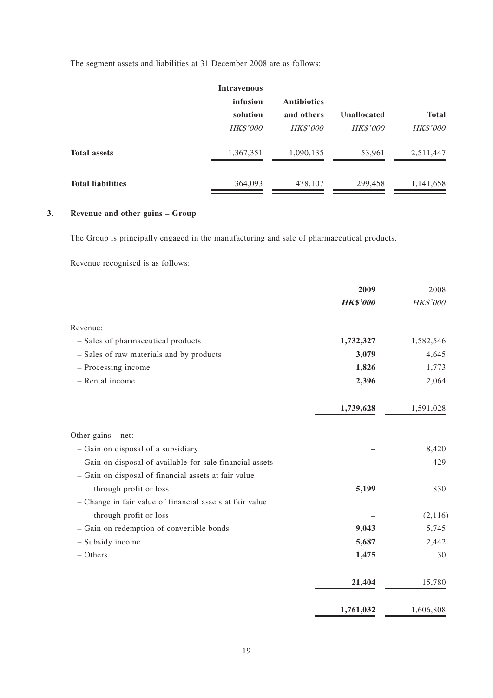The segment assets and liabilities at 31 December 2008 are as follows:

|                          | <b>Intravenous</b> |                    |                 |                 |
|--------------------------|--------------------|--------------------|-----------------|-----------------|
|                          | infusion           | <b>Antibiotics</b> |                 |                 |
|                          | solution           | and others         | Unallocated     | <b>Total</b>    |
|                          | <b>HK\$'000</b>    | <b>HK\$'000</b>    | <b>HK\$'000</b> | <b>HK\$'000</b> |
| <b>Total assets</b>      | 1,367,351          | 1,090,135          | 53,961          | 2,511,447       |
| <b>Total liabilities</b> | 364,093            | 478,107            | 299,458         | 1,141,658       |

### **3. Revenue and other gains – Group**

The Group is principally engaged in the manufacturing and sale of pharmaceutical products.

Revenue recognised is as follows:

|                                                           | 2009            | 2008      |
|-----------------------------------------------------------|-----------------|-----------|
|                                                           | <b>HK\$'000</b> | HK\$'000  |
| Revenue:                                                  |                 |           |
| - Sales of pharmaceutical products                        | 1,732,327       | 1,582,546 |
| - Sales of raw materials and by products                  | 3,079           | 4,645     |
| - Processing income                                       | 1,826           | 1,773     |
| - Rental income                                           | 2,396           | 2,064     |
|                                                           | 1,739,628       | 1,591,028 |
| Other gains $-$ net:                                      |                 |           |
| - Gain on disposal of a subsidiary                        |                 | 8,420     |
| - Gain on disposal of available-for-sale financial assets |                 | 429       |
| - Gain on disposal of financial assets at fair value      |                 |           |
| through profit or loss                                    | 5,199           | 830       |
| - Change in fair value of financial assets at fair value  |                 |           |
| through profit or loss                                    |                 | (2,116)   |
| - Gain on redemption of convertible bonds                 | 9,043           | 5,745     |
| - Subsidy income                                          | 5,687           | 2,442     |
| $-$ Others                                                | 1,475           | 30        |
|                                                           | 21,404          | 15,780    |
|                                                           | 1,761,032       | 1,606,808 |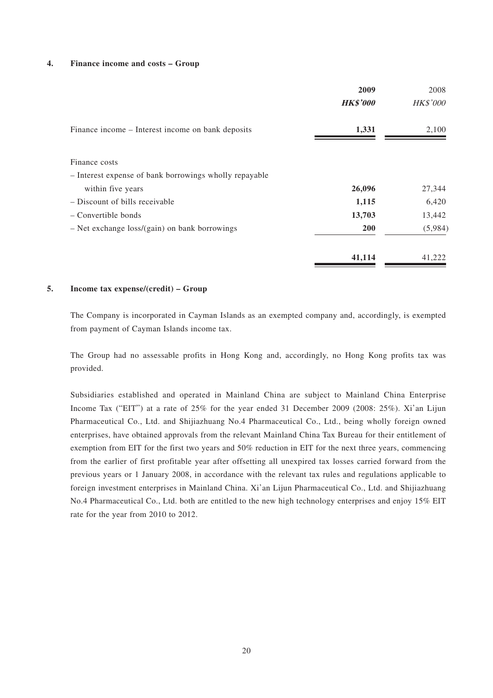#### **4. Finance income and costs – Group**

|                                                        | 2009            | 2008            |
|--------------------------------------------------------|-----------------|-----------------|
|                                                        | <b>HK\$'000</b> | <b>HK\$'000</b> |
| Finance income – Interest income on bank deposits      | 1,331           | 2,100           |
| Finance costs                                          |                 |                 |
| - Interest expense of bank borrowings wholly repayable |                 |                 |
| within five years                                      | 26,096          | 27,344          |
| - Discount of bills receivable                         | 1,115           | 6,420           |
| – Convertible bonds                                    | 13,703          | 13,442          |
| $-$ Net exchange loss/(gain) on bank borrowings        | 200             | (5,984)         |
|                                                        | 41,114          | 41,222          |

#### **5. Income tax expense/(credit) – Group**

The Company is incorporated in Cayman Islands as an exempted company and, accordingly, is exempted from payment of Cayman Islands income tax.

The Group had no assessable profits in Hong Kong and, accordingly, no Hong Kong profits tax was provided.

Subsidiaries established and operated in Mainland China are subject to Mainland China Enterprise Income Tax ("EIT") at a rate of 25% for the year ended 31 December 2009 (2008: 25%). Xi'an Lijun Pharmaceutical Co., Ltd. and Shijiazhuang No.4 Pharmaceutical Co., Ltd., being wholly foreign owned enterprises, have obtained approvals from the relevant Mainland China Tax Bureau for their entitlement of exemption from EIT for the first two years and 50% reduction in EIT for the next three years, commencing from the earlier of first profitable year after offsetting all unexpired tax losses carried forward from the previous years or 1 January 2008, in accordance with the relevant tax rules and regulations applicable to foreign investment enterprises in Mainland China. Xi'an Lijun Pharmaceutical Co., Ltd. and Shijiazhuang No.4 Pharmaceutical Co., Ltd. both are entitled to the new high technology enterprises and enjoy 15% EIT rate for the year from 2010 to 2012.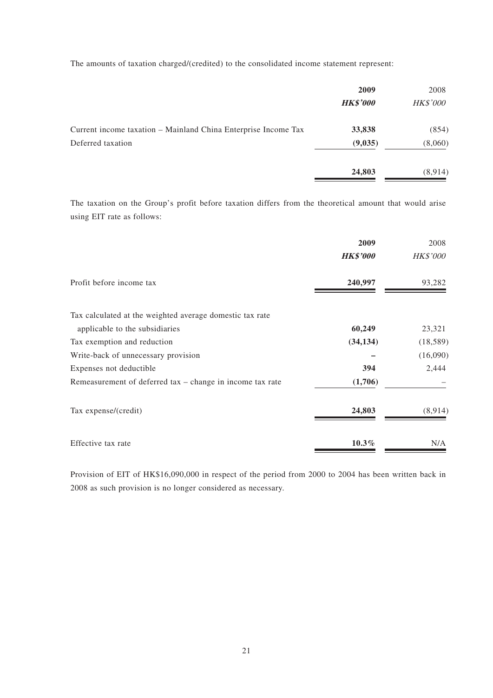The amounts of taxation charged/(credited) to the consolidated income statement represent:

|                                                                | 2009<br><b>HK\$'000</b> | 2008<br><b>HK\$'000</b> |
|----------------------------------------------------------------|-------------------------|-------------------------|
| Current income taxation - Mainland China Enterprise Income Tax | 33,838                  | (854)                   |
| Deferred taxation                                              | (9,035)                 | (8,060)                 |
|                                                                | 24,803                  | (8,914)                 |

The taxation on the Group's profit before taxation differs from the theoretical amount that would arise using EIT rate as follows:

|                                                             | 2009            | 2008            |
|-------------------------------------------------------------|-----------------|-----------------|
|                                                             | <b>HK\$'000</b> | <b>HK\$'000</b> |
| Profit before income tax                                    | 240,997         | 93,282          |
| Tax calculated at the weighted average domestic tax rate    |                 |                 |
| applicable to the subsidiaries                              | 60,249          | 23,321          |
| Tax exemption and reduction                                 | (34, 134)       | (18, 589)       |
| Write-back of unnecessary provision                         |                 | (16,090)        |
| Expenses not deductible                                     | 394             | 2,444           |
| Remeasurement of deferred $tax - change$ in income tax rate | (1,706)         |                 |
| Tax expense/(credit)                                        | 24,803          | (8,914)         |
| Effective tax rate                                          | $10.3\%$        | N/A             |

Provision of EIT of HK\$16,090,000 in respect of the period from 2000 to 2004 has been written back in 2008 as such provision is no longer considered as necessary.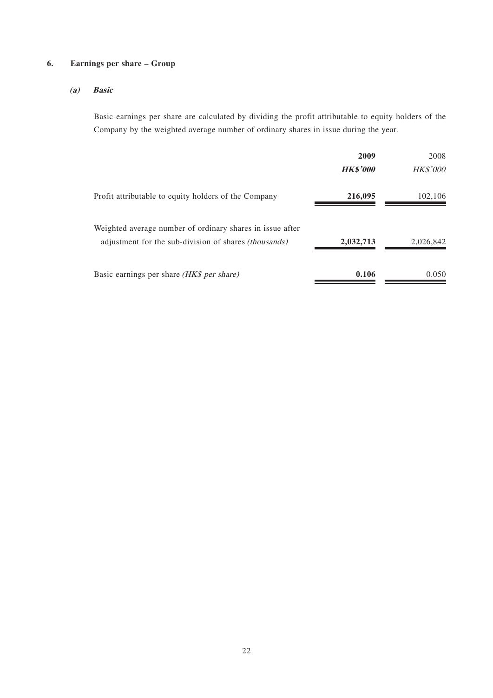### **6. Earnings per share – Group**

### **(a) Basic**

Basic earnings per share are calculated by dividing the profit attributable to equity holders of the Company by the weighted average number of ordinary shares in issue during the year.

|                                                                                                                           | 2009            | 2008            |
|---------------------------------------------------------------------------------------------------------------------------|-----------------|-----------------|
|                                                                                                                           | <b>HK\$'000</b> | <b>HK\$'000</b> |
| Profit attributable to equity holders of the Company                                                                      | 216,095         | 102,106         |
| Weighted average number of ordinary shares in issue after<br>adjustment for the sub-division of shares <i>(thousands)</i> | 2,032,713       | 2,026,842       |
| Basic earnings per share <i>(HK\$ per share)</i>                                                                          | 0.106           | 0.050           |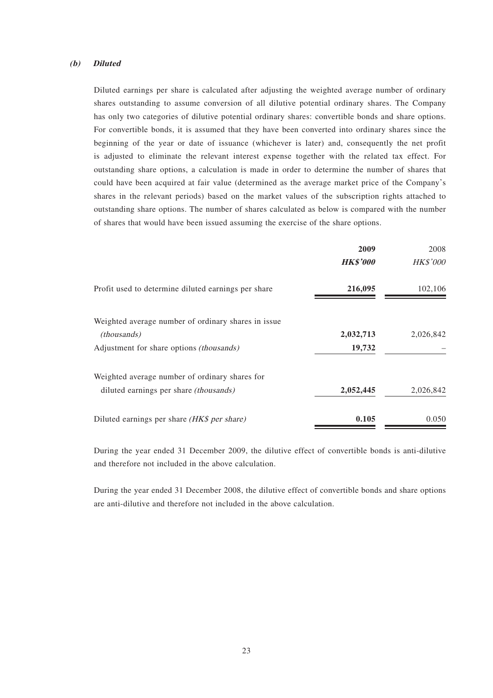#### **(b) Diluted**

Diluted earnings per share is calculated after adjusting the weighted average number of ordinary shares outstanding to assume conversion of all dilutive potential ordinary shares. The Company has only two categories of dilutive potential ordinary shares: convertible bonds and share options. For convertible bonds, it is assumed that they have been converted into ordinary shares since the beginning of the year or date of issuance (whichever is later) and, consequently the net profit is adjusted to eliminate the relevant interest expense together with the related tax effect. For outstanding share options, a calculation is made in order to determine the number of shares that could have been acquired at fair value (determined as the average market price of the Company's shares in the relevant periods) based on the market values of the subscription rights attached to outstanding share options. The number of shares calculated as below is compared with the number of shares that would have been issued assuming the exercise of the share options.

|                                                     | 2009            | 2008      |
|-----------------------------------------------------|-----------------|-----------|
|                                                     | <b>HK\$'000</b> | HK\$'000  |
| Profit used to determine diluted earnings per share | 216,095         | 102,106   |
| Weighted average number of ordinary shares in issue |                 |           |
| <i>(thousands)</i>                                  | 2,032,713       | 2,026,842 |
| Adjustment for share options (thousands)            | 19,732          |           |
| Weighted average number of ordinary shares for      |                 |           |
| diluted earnings per share <i>(thousands)</i>       | 2,052,445       | 2,026,842 |
| Diluted earnings per share (HK\$ per share)         | 0.105           | 0.050     |

During the year ended 31 December 2009, the dilutive effect of convertible bonds is anti-dilutive and therefore not included in the above calculation.

During the year ended 31 December 2008, the dilutive effect of convertible bonds and share options are anti-dilutive and therefore not included in the above calculation.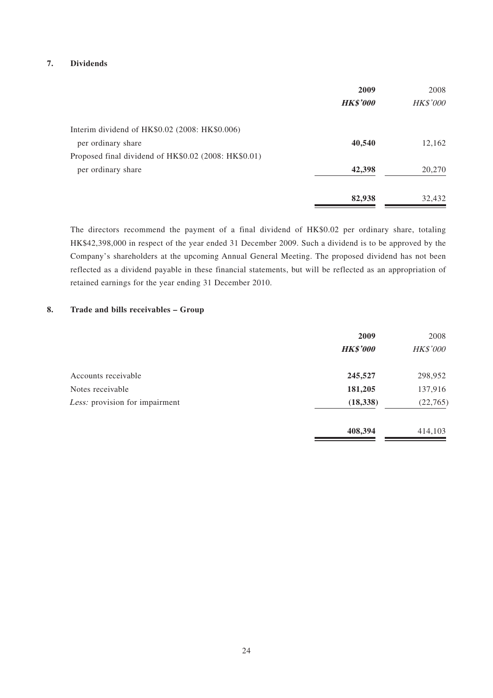#### **7. Dividends**

|                                                      | 2009            | 2008            |
|------------------------------------------------------|-----------------|-----------------|
|                                                      | <b>HK\$'000</b> | <b>HK\$'000</b> |
| Interim dividend of HK\$0.02 (2008: HK\$0.006)       |                 |                 |
| per ordinary share                                   | 40,540          | 12,162          |
| Proposed final dividend of HK\$0.02 (2008: HK\$0.01) |                 |                 |
| per ordinary share                                   | 42,398          | 20,270          |
|                                                      | 82,938          | 32,432          |

The directors recommend the payment of a final dividend of HK\$0.02 per ordinary share, totaling HK\$42,398,000 in respect of the year ended 31 December 2009. Such a dividend is to be approved by the Company's shareholders at the upcoming Annual General Meeting. The proposed dividend has not been reflected as a dividend payable in these financial statements, but will be reflected as an appropriation of retained earnings for the year ending 31 December 2010.

#### **8. Trade and bills receivables – Group**

|                                | 2009            | 2008            |
|--------------------------------|-----------------|-----------------|
|                                | <b>HK\$'000</b> | <b>HK\$'000</b> |
| Accounts receivable            | 245,527         | 298,952         |
| Notes receivable               | 181,205         | 137,916         |
| Less: provision for impairment | (18, 338)       | (22, 765)       |
|                                | 408,394         | 414,103         |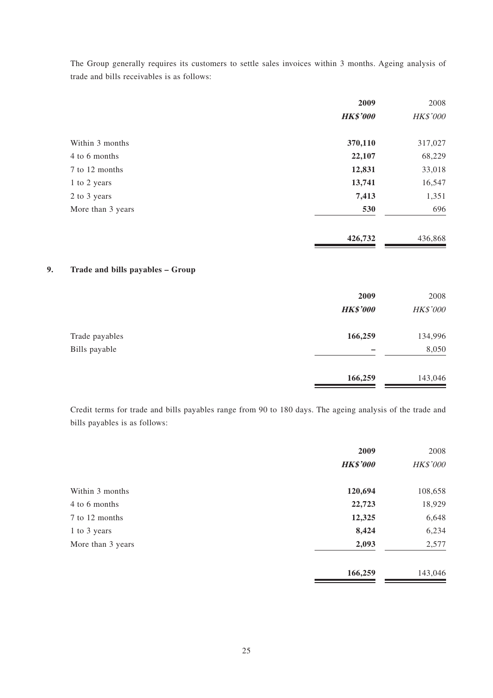The Group generally requires its customers to settle sales invoices within 3 months. Ageing analysis of trade and bills receivables is as follows:

|                   | 2009            | 2008     |
|-------------------|-----------------|----------|
|                   | <b>HK\$'000</b> | HK\$'000 |
| Within 3 months   | 370,110         | 317,027  |
| 4 to 6 months     | 22,107          | 68,229   |
| 7 to 12 months    | 12,831          | 33,018   |
| 1 to 2 years      | 13,741          | 16,547   |
| 2 to 3 years      | 7,413           | 1,351    |
| More than 3 years | 530             | 696      |
|                   | 426,732         | 436,868  |

### **9. Trade and bills payables – Group**

|                | 2009<br><b>HK\$'000</b> | 2008<br><b>HK\$'000</b> |
|----------------|-------------------------|-------------------------|
| Trade payables | 166,259                 | 134,996                 |
| Bills payable  |                         | 8,050                   |
|                | 166,259                 | 143,046                 |

Credit terms for trade and bills payables range from 90 to 180 days. The ageing analysis of the trade and bills payables is as follows:

|                   | 2009            | 2008     |
|-------------------|-----------------|----------|
|                   | <b>HK\$'000</b> | HK\$'000 |
| Within 3 months   | 120,694         | 108,658  |
| 4 to 6 months     | 22,723          | 18,929   |
| 7 to 12 months    | 12,325          | 6,648    |
| 1 to 3 years      | 8,424           | 6,234    |
| More than 3 years | 2,093           | 2,577    |
|                   | 166,259         | 143,046  |

**166,259** 143,046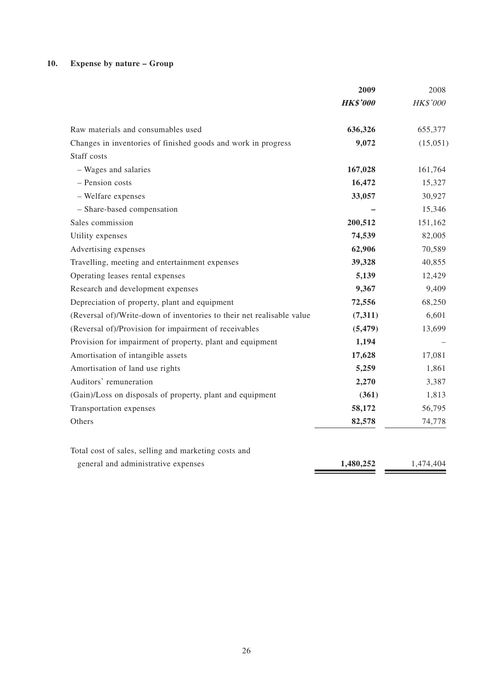### **10. Expense by nature – Group**

|                                                                       | 2009            | 2008      |
|-----------------------------------------------------------------------|-----------------|-----------|
|                                                                       | <b>HK\$'000</b> | HK\$'000  |
| Raw materials and consumables used                                    | 636,326         | 655,377   |
| Changes in inventories of finished goods and work in progress         | 9,072           | (15,051)  |
| Staff costs                                                           |                 |           |
| - Wages and salaries                                                  | 167,028         | 161,764   |
| - Pension costs                                                       | 16,472          | 15,327    |
| - Welfare expenses                                                    | 33,057          | 30,927    |
| - Share-based compensation                                            |                 | 15,346    |
| Sales commission                                                      | 200,512         | 151,162   |
| Utility expenses                                                      | 74,539          | 82,005    |
| Advertising expenses                                                  | 62,906          | 70,589    |
| Travelling, meeting and entertainment expenses                        | 39,328          | 40,855    |
| Operating leases rental expenses                                      | 5,139           | 12,429    |
| Research and development expenses                                     | 9,367           | 9,409     |
| Depreciation of property, plant and equipment                         | 72,556          | 68,250    |
| (Reversal of)/Write-down of inventories to their net realisable value | (7,311)         | 6,601     |
| (Reversal of)/Provision for impairment of receivables                 | (5, 479)        | 13,699    |
| Provision for impairment of property, plant and equipment             | 1,194           |           |
| Amortisation of intangible assets                                     | 17,628          | 17,081    |
| Amortisation of land use rights                                       | 5,259           | 1,861     |
| Auditors' remuneration                                                | 2,270           | 3,387     |
| (Gain)/Loss on disposals of property, plant and equipment             | (361)           | 1,813     |
| Transportation expenses                                               | 58,172          | 56,795    |
| Others                                                                | 82,578          | 74,778    |
| Total cost of sales, selling and marketing costs and                  |                 |           |
| general and administrative expenses                                   | 1,480,252       | 1,474,404 |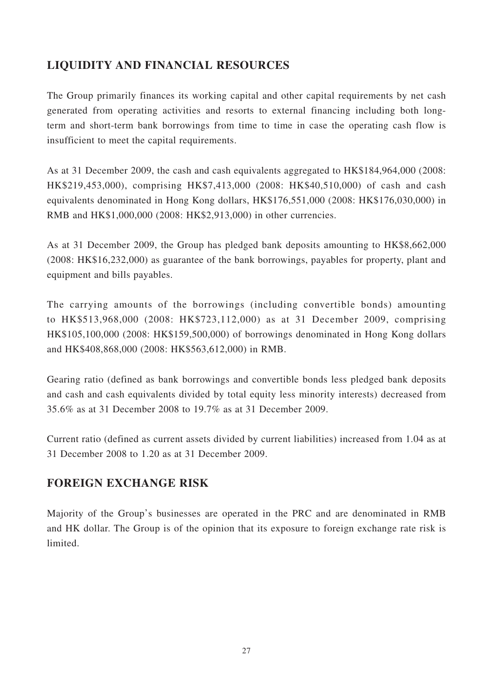# **LIQUIDITY AND FINANCIAL RESOURCES**

The Group primarily finances its working capital and other capital requirements by net cash generated from operating activities and resorts to external financing including both longterm and short-term bank borrowings from time to time in case the operating cash flow is insufficient to meet the capital requirements.

As at 31 December 2009, the cash and cash equivalents aggregated to HK\$184,964,000 (2008: HK\$219,453,000), comprising HK\$7,413,000 (2008: HK\$40,510,000) of cash and cash equivalents denominated in Hong Kong dollars, HK\$176,551,000 (2008: HK\$176,030,000) in RMB and HK\$1,000,000 (2008: HK\$2,913,000) in other currencies.

As at 31 December 2009, the Group has pledged bank deposits amounting to HK\$8,662,000 (2008: HK\$16,232,000) as guarantee of the bank borrowings, payables for property, plant and equipment and bills payables.

The carrying amounts of the borrowings (including convertible bonds) amounting to HK\$513,968,000 (2008: HK\$723,112,000) as at 31 December 2009, comprising HK\$105,100,000 (2008: HK\$159,500,000) of borrowings denominated in Hong Kong dollars and HK\$408,868,000 (2008: HK\$563,612,000) in RMB.

Gearing ratio (defined as bank borrowings and convertible bonds less pledged bank deposits and cash and cash equivalents divided by total equity less minority interests) decreased from 35.6% as at 31 December 2008 to 19.7% as at 31 December 2009.

Current ratio (defined as current assets divided by current liabilities) increased from 1.04 as at 31 December 2008 to 1.20 as at 31 December 2009.

### **FOREIGN EXCHANGE RISK**

Majority of the Group's businesses are operated in the PRC and are denominated in RMB and HK dollar. The Group is of the opinion that its exposure to foreign exchange rate risk is limited.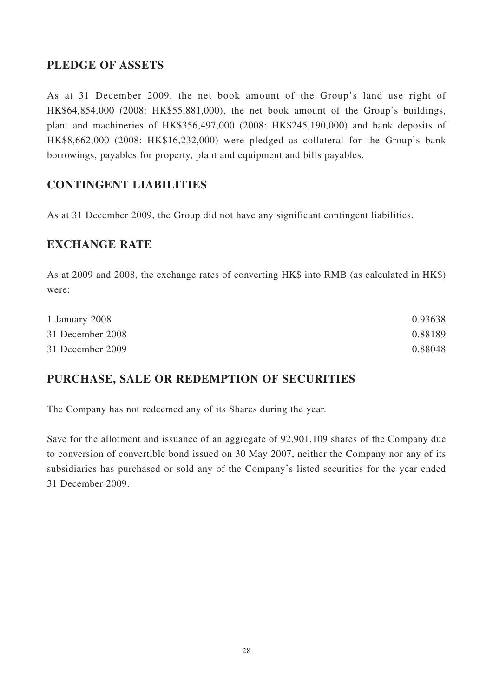## **PLEDGE OF ASSETS**

As at 31 December 2009, the net book amount of the Group's land use right of HK\$64,854,000 (2008: HK\$55,881,000), the net book amount of the Group's buildings, plant and machineries of HK\$356,497,000 (2008: HK\$245,190,000) and bank deposits of HK\$8,662,000 (2008: HK\$16,232,000) were pledged as collateral for the Group's bank borrowings, payables for property, plant and equipment and bills payables.

## **CONTINGENT LIABILITIES**

As at 31 December 2009, the Group did not have any significant contingent liabilities.

### **EXCHANGE RATE**

As at 2009 and 2008, the exchange rates of converting HK\$ into RMB (as calculated in HK\$) were:

| 1 January 2008   | 0.93638 |
|------------------|---------|
| 31 December 2008 | 0.88189 |
| 31 December 2009 | 0.88048 |

# **PURCHASE, SALE OR REDEMPTION OF SECURITIES**

The Company has not redeemed any of its Shares during the year.

Save for the allotment and issuance of an aggregate of 92,901,109 shares of the Company due to conversion of convertible bond issued on 30 May 2007, neither the Company nor any of its subsidiaries has purchased or sold any of the Company's listed securities for the year ended 31 December 2009.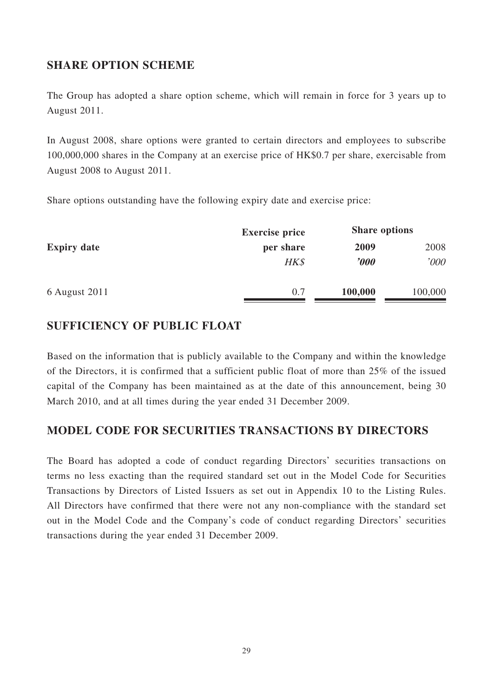### **SHARE OPTION SCHEME**

The Group has adopted a share option scheme, which will remain in force for 3 years up to August 2011.

In August 2008, share options were granted to certain directors and employees to subscribe 100,000,000 shares in the Company at an exercise price of HK\$0.7 per share, exercisable from August 2008 to August 2011.

Share options outstanding have the following expiry date and exercise price:

|                    | <b>Exercise price</b> |                         | <b>Share options</b> |
|--------------------|-----------------------|-------------------------|----------------------|
| <b>Expiry date</b> | per share             | 2009                    | 2008                 |
|                    | HK\$                  | $\boldsymbol{\it '000}$ | '000                 |
| 6 August 2011      | 0.7                   | 100,000                 | 100,000              |

### **SUFFICIENCY OF PUBLIC FLOAT**

Based on the information that is publicly available to the Company and within the knowledge of the Directors, it is confirmed that a sufficient public float of more than 25% of the issued capital of the Company has been maintained as at the date of this announcement, being 30 March 2010, and at all times during the year ended 31 December 2009.

### **MODEL CODE FOR SECURITIES TRANSACTIONS BY DIRECTORS**

The Board has adopted a code of conduct regarding Directors' securities transactions on terms no less exacting than the required standard set out in the Model Code for Securities Transactions by Directors of Listed Issuers as set out in Appendix 10 to the Listing Rules. All Directors have confirmed that there were not any non-compliance with the standard set out in the Model Code and the Company's code of conduct regarding Directors' securities transactions during the year ended 31 December 2009.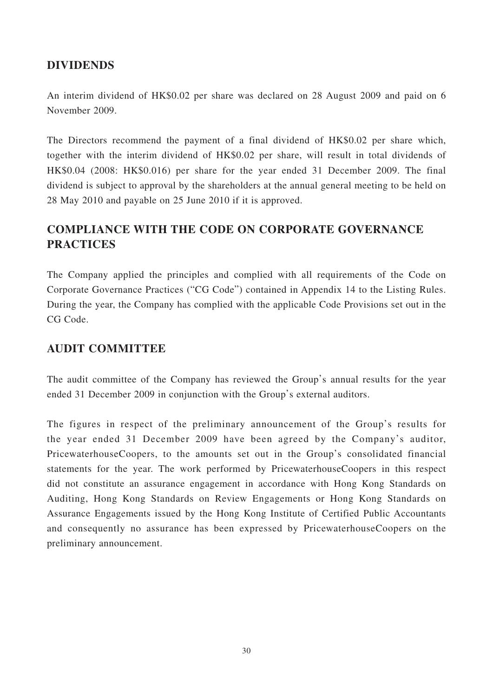### **DIVIDENDS**

An interim dividend of HK\$0.02 per share was declared on 28 August 2009 and paid on 6 November 2009.

The Directors recommend the payment of a final dividend of HK\$0.02 per share which, together with the interim dividend of HK\$0.02 per share, will result in total dividends of HK\$0.04 (2008: HK\$0.016) per share for the year ended 31 December 2009. The final dividend is subject to approval by the shareholders at the annual general meeting to be held on 28 May 2010 and payable on 25 June 2010 if it is approved.

# **COMPLIANCE WITH THE CODE ON CORPORATE GOVERNANCE PRACTICES**

The Company applied the principles and complied with all requirements of the Code on Corporate Governance Practices ("CG Code") contained in Appendix 14 to the Listing Rules. During the year, the Company has complied with the applicable Code Provisions set out in the CG Code.

### **AUDIT COMMITTEE**

The audit committee of the Company has reviewed the Group's annual results for the year ended 31 December 2009 in conjunction with the Group's external auditors.

The figures in respect of the preliminary announcement of the Group's results for the year ended 31 December 2009 have been agreed by the Company's auditor, PricewaterhouseCoopers, to the amounts set out in the Group's consolidated financial statements for the year. The work performed by PricewaterhouseCoopers in this respect did not constitute an assurance engagement in accordance with Hong Kong Standards on Auditing, Hong Kong Standards on Review Engagements or Hong Kong Standards on Assurance Engagements issued by the Hong Kong Institute of Certified Public Accountants and consequently no assurance has been expressed by PricewaterhouseCoopers on the preliminary announcement.